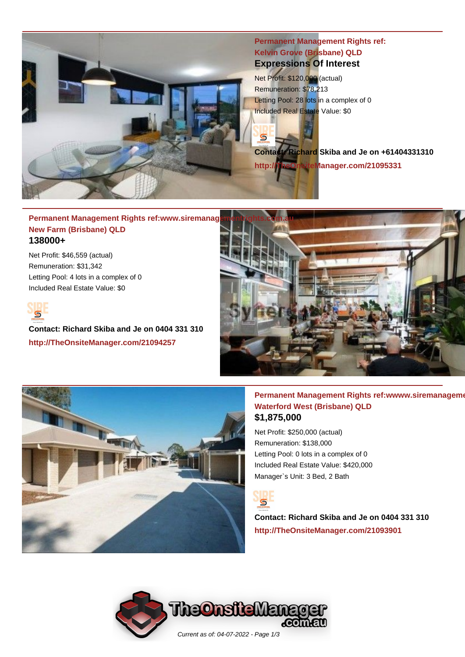

# **Permanent Management Rights ref: Kelvin Grove (Brisbane) QLD Expressions Of Interest**

Net Profit: \$120,000 (actual) Remuneration: \$78,213 Letting Pool: 28 lots in a complex of 0 Included Real Estate Value: \$0

 $\overline{\mathbf{s}}$ 

**Contact: Richard Skiba and Je on +61404331310 http://TheOnsiteManager.com/21095331**

## **Permanent Management Rights ref:www.siremanagement New Farm (Brisbane) QLD 138000+**

Net Profit: \$46,559 (actual) Remuneration: \$31,342 Letting Pool: 4 lots in a complex of 0 Included Real Estate Value: \$0



**Contact: Richard Skiba and Je on 0404 331 310 http://TheOnsiteManager.com/21094257**



## **Permanent Management Rights ref:wwww.siremanagement Waterford West (Brisbane) QLD \$1,875,000**

Net Profit: \$250,000 (actual) Remuneration: \$138,000 Letting Pool: 0 lots in a complex of 0 Included Real Estate Value: \$420,000 Manager`s Unit: 3 Bed, 2 Bath



**Contact: Richard Skiba and Je on 0404 331 310 http://TheOnsiteManager.com/21093901**

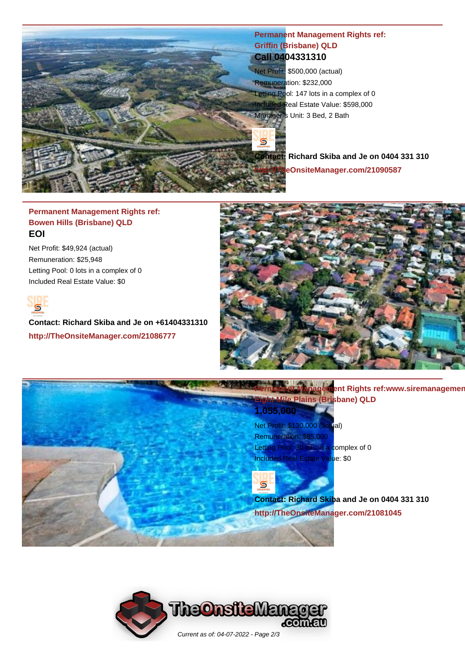

# **Permanent Management Rights ref: Griffin (Brisbane) QLD Call 0404331310**

Net Profit: \$500,000 (actual) Remuneration: \$232,000 Letting Pool: 147 lots in a complex of 0 Included Real Estate Value: \$598,000 Manager's Unit: 3 Bed, 2 Bath

**Contact: Richard Skiba and Je on 0404 331 310 http://TheOnsiteManager.com/21090587**

# **Permanent Management Rights ref: Bowen Hills (Brisbane) QLD EOI**

Net Profit: \$49,924 (actual) Remuneration: \$25,948 Letting Pool: 0 lots in a complex of 0 Included Real Estate Value: \$0



**Contact: Richard Skiba and Je on +61404331310 http://TheOnsiteManager.com/21086777**